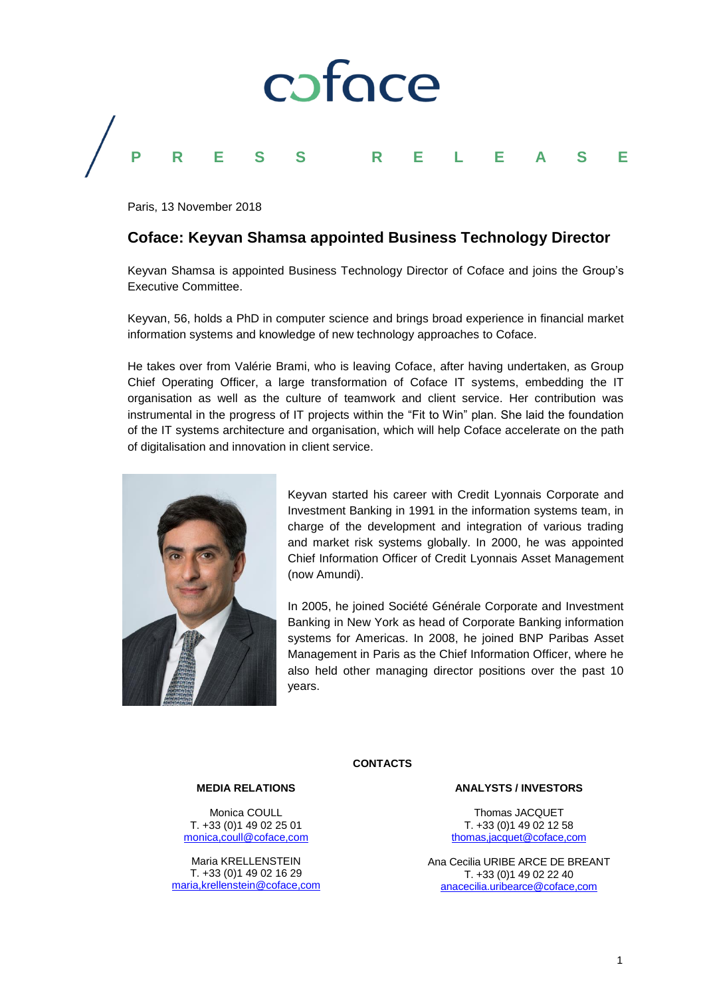

Paris, 13 November 2018

# **Coface: Keyvan Shamsa appointed Business Technology Director**

Keyvan Shamsa is appointed Business Technology Director of Coface and joins the Group's Executive Committee.

Keyvan, 56, holds a PhD in computer science and brings broad experience in financial market information systems and knowledge of new technology approaches to Coface.

He takes over from Valérie Brami, who is leaving Coface, after having undertaken, as Group Chief Operating Officer, a large transformation of Coface IT systems, embedding the IT organisation as well as the culture of teamwork and client service. Her contribution was instrumental in the progress of IT projects within the "Fit to Win" plan. She laid the foundation of the IT systems architecture and organisation, which will help Coface accelerate on the path of digitalisation and innovation in client service.



Keyvan started his career with Credit Lyonnais Corporate and Investment Banking in 1991 in the information systems team, in charge of the development and integration of various trading and market risk systems globally. In 2000, he was appointed Chief Information Officer of Credit Lyonnais Asset Management (now Amundi).

In 2005, he joined Société Générale Corporate and Investment Banking in New York as head of Corporate Banking information systems for Americas. In 2008, he joined BNP Paribas Asset Management in Paris as the Chief Information Officer, where he also held other managing director positions over the past 10 years.

# **CONTACTS**

# **MEDIA RELATIONS**

Monica COULL T. +33 (0)1 49 02 25 01 [monica,coull@coface,com](mailto:monica.coull@coface.com)

Maria KRELLENSTEIN T. +33 (0)1 49 02 16 29 [maria,krellenstein@coface,com](mailto:maria.krellenstein@coface.com)

#### **ANALYSTS / INVESTORS**

Thomas JACQUET T. +33 (0)1 49 02 12 58 [thomas,jacquet@coface,com](mailto:thomas.jacquet@coface.com)

Ana Cecilia URIBE ARCE DE BREANT T. +33 (0)1 49 02 22 40 [anacecilia.uribearce@coface,com](mailto:anacecilia.uribearce@coface,com)